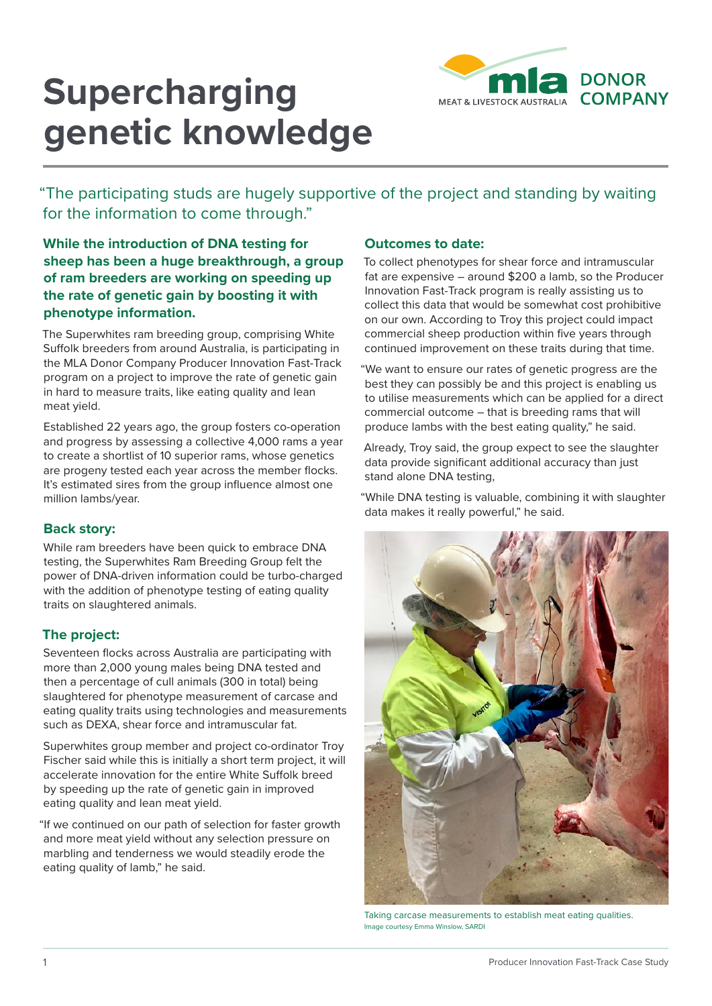

# **Supercharging genetic knowledge**

"The participating studs are hugely supportive of the project and standing by waiting for the information to come through."

# **While the introduction of DNA testing for sheep has been a huge breakthrough, a group of ram breeders are working on speeding up the rate of genetic gain by boosting it with phenotype information.**

The Superwhites ram breeding group, comprising White Suffolk breeders from around Australia, is participating in the MLA Donor Company Producer Innovation Fast-Track program on a project to improve the rate of genetic gain in hard to measure traits, like eating quality and lean meat yield.

Established 22 years ago, the group fosters co-operation and progress by assessing a collective 4,000 rams a year to create a shortlist of 10 superior rams, whose genetics are progeny tested each year across the member flocks. It's estimated sires from the group influence almost one million lambs/year.

## **Back story:**

While ram breeders have been quick to embrace DNA testing, the Superwhites Ram Breeding Group felt the power of DNA-driven information could be turbo-charged with the addition of phenotype testing of eating quality traits on slaughtered animals.

# **The project:**

Seventeen flocks across Australia are participating with more than 2,000 young males being DNA tested and then a percentage of cull animals (300 in total) being slaughtered for phenotype measurement of carcase and eating quality traits using technologies and measurements such as DEXA, shear force and intramuscular fat.

Superwhites group member and project co-ordinator Troy Fischer said while this is initially a short term project, it will accelerate innovation for the entire White Suffolk breed by speeding up the rate of genetic gain in improved eating quality and lean meat yield.

"If we continued on our path of selection for faster growth and more meat yield without any selection pressure on marbling and tenderness we would steadily erode the eating quality of lamb," he said.

### **Outcomes to date:**

To collect phenotypes for shear force and intramuscular fat are expensive – around \$200 a lamb, so the Producer Innovation Fast-Track program is really assisting us to collect this data that would be somewhat cost prohibitive on our own. According to Troy this project could impact commercial sheep production within five years through continued improvement on these traits during that time.

"We want to ensure our rates of genetic progress are the best they can possibly be and this project is enabling us to utilise measurements which can be applied for a direct commercial outcome – that is breeding rams that will produce lambs with the best eating quality," he said.

Already, Troy said, the group expect to see the slaughter data provide significant additional accuracy than just stand alone DNA testing,

"While DNA testing is valuable, combining it with slaughter data makes it really powerful," he said.



Taking carcase measurements to establish meat eating qualities. Image courtesy Emma Winslow, SARDI